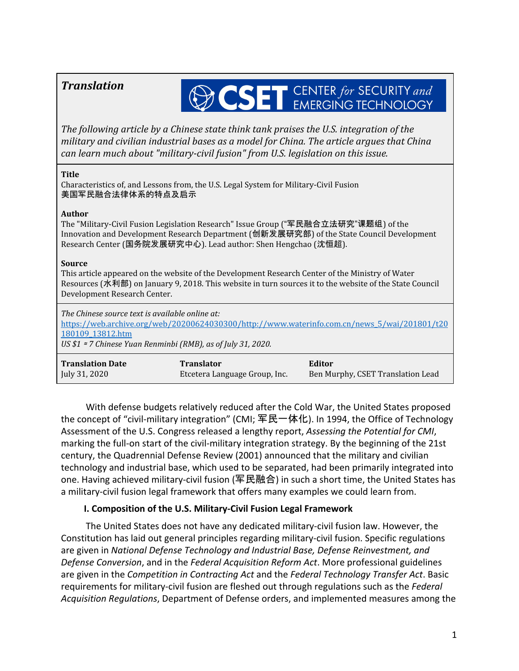# *Translation*

# **OSET** CENTER for SECURITY and

*The following article by a Chinese state think tank praises the U.S. integration of the military and civilian industrial bases as a model for China. The article argues that China can learn much about "military-civil fusion" from U.S. legislation on this issue.*

#### **Title**

Characteristics of, and Lessons from, the U.S. Legal System for Military-Civil Fusion 美国军民融合法律体系的特点及启示

#### **Author**

The "Military-Civil Fusion Legislation Research" Issue Group ("军民融合立法研究"课题组) of the Innovation and Development Research Department (创新发展研究部) of the State Council Development Research Center (国务院发展研究中心). Lead author: Shen Hengchao (沈恒超).

#### **Source**

This article appeared on the website of the Development Research Center of the Ministry of Water Resources (水利部) on January 9, 2018. This website in turn sources it to the website of the State Council Development Research Center.

*The Chinese source text is available online at:* [https://web.archive.org/web/20200624030300/http://www.waterinfo.com.cn/news\\_5/wai/201801/t20](https://web.archive.org/web/20200624030300/http:/www.waterinfo.com.cn/news_5/wai/201801/t20180109_13812.htm) [180109\\_13812.htm](https://web.archive.org/web/20200624030300/http:/www.waterinfo.com.cn/news_5/wai/201801/t20180109_13812.htm) *US \$1* <sup>≈</sup> *7 Chinese Yuan Renminbi (RMB), as of July 31, 2020.*

| <b>Translation Date</b> | <b>Translator</b>             | Editor                            |
|-------------------------|-------------------------------|-----------------------------------|
| July 31, 2020           | Etcetera Language Group, Inc. | Ben Murphy, CSET Translation Lead |

With defense budgets relatively reduced after the Cold War, the United States proposed the concept of "civil-military integration" (CMI; 军民一体化). In 1994, the Office of Technology Assessment of the U.S. Congress released a lengthy report, *Assessing the Potential for CMI*, marking the full-on start of the civil-military integration strategy. By the beginning of the 21st century, the Quadrennial Defense Review (2001) announced that the military and civilian technology and industrial base, which used to be separated, had been primarily integrated into one. Having achieved military-civil fusion (军民融合) in such a short time, the United States has a military-civil fusion legal framework that offers many examples we could learn from.

## **I. Composition of the U.S. Military-Civil Fusion Legal Framework**

The United States does not have any dedicated military-civil fusion law. However, the Constitution has laid out general principles regarding military-civil fusion. Specific regulations are given in *National Defense Technology and Industrial Base, Defense Reinvestment, and Defense Conversion*, and in the *Federal Acquisition Reform Act*. More professional guidelines are given in the *Competition in Contracting Act* and the *Federal Technology Transfer Act*. Basic requirements for military-civil fusion are fleshed out through regulations such as the *Federal Acquisition Regulations*, Department of Defense orders, and implemented measures among the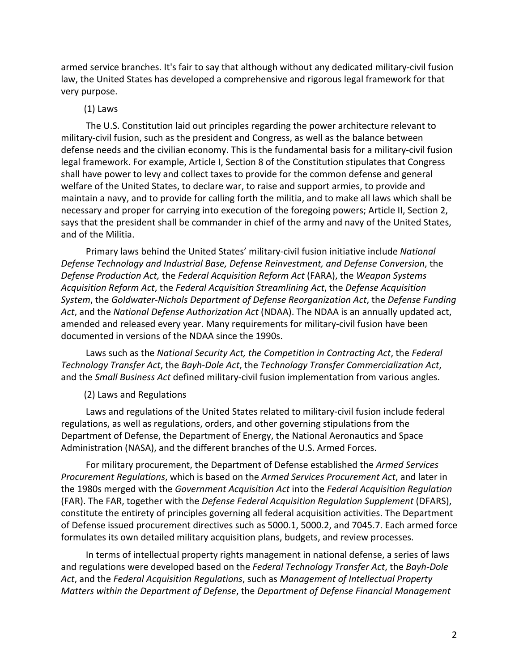armed service branches. It's fair to say that although without any dedicated military-civil fusion law, the United States has developed a comprehensive and rigorous legal framework for that very purpose.

#### (1) Laws

The U.S. Constitution laid out principles regarding the power architecture relevant to military-civil fusion, such as the president and Congress, as well as the balance between defense needs and the civilian economy. This is the fundamental basis for a military-civil fusion legal framework. For example, Article I, Section 8 of the Constitution stipulates that Congress shall have power to levy and collect taxes to provide for the common defense and general welfare of the United States, to declare war, to raise and support armies, to provide and maintain a navy, and to provide for calling forth the militia, and to make all laws which shall be necessary and proper for carrying into execution of the foregoing powers; Article II, Section 2, says that the president shall be commander in chief of the army and navy of the United States, and of the Militia.

Primary laws behind the United States' military-civil fusion initiative include *National Defense Technology and Industrial Base, Defense Reinvestment, and Defense Conversion*, the *Defense Production Act,* the *Federal Acquisition Reform Act* (FARA), the *Weapon Systems Acquisition Reform Act*, the *Federal Acquisition Streamlining Act*, the *Defense Acquisition System*, the *Goldwater-Nichols Department of Defense Reorganization Act*, the *Defense Funding Act*, and the *National Defense Authorization Act* (NDAA). The NDAA is an annually updated act, amended and released every year. Many requirements for military-civil fusion have been documented in versions of the NDAA since the 1990s.

Laws such as the *National Security Act, the Competition in Contracting Act*, the *Federal Technology Transfer Act*, the *Bayh-Dole Act*, the *Technology Transfer Commercialization Act*, and the *Small Business Act* defined military-civil fusion implementation from various angles.

#### (2) Laws and Regulations

Laws and regulations of the United States related to military-civil fusion include federal regulations, as well as regulations, orders, and other governing stipulations from the Department of Defense, the Department of Energy, the National Aeronautics and Space Administration (NASA), and the different branches of the U.S. Armed Forces.

For military procurement, the Department of Defense established the *Armed Services Procurement Regulations*, which is based on the *Armed Services Procurement Act*, and later in the 1980s merged with the *Government Acquisition Act* into the *Federal Acquisition Regulation* (FAR). The FAR, together with the *Defense Federal Acquisition Regulation Supplement* (DFARS), constitute the entirety of principles governing all federal acquisition activities. The Department of Defense issued procurement directives such as 5000.1, 5000.2, and 7045.7. Each armed force formulates its own detailed military acquisition plans, budgets, and review processes.

In terms of intellectual property rights management in national defense, a series of laws and regulations were developed based on the *Federal Technology Transfer Act*, the *Bayh-Dole Act*, and the *Federal Acquisition Regulations*, such as *Management of Intellectual Property Matters within the Department of Defense*, the *Department of Defense Financial Management*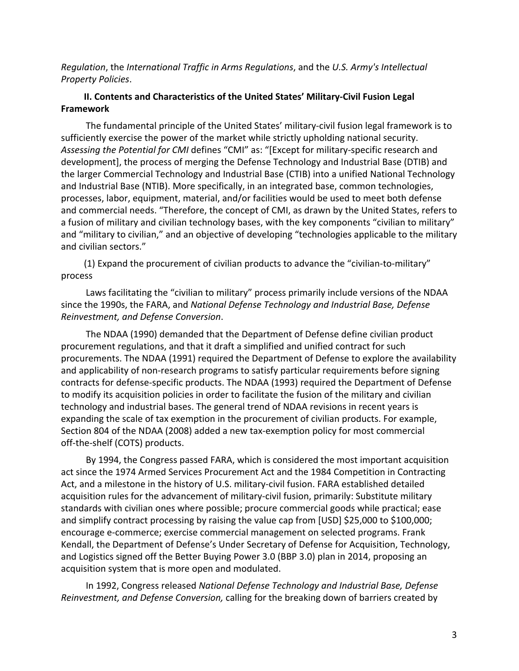*Regulation*, the *International Traffic in Arms Regulations*, and the *U.S. Army's Intellectual Property Policies*.

## **II. Contents and Characteristics of the United States' Military-Civil Fusion Legal Framework**

The fundamental principle of the United States' military-civil fusion legal framework is to sufficiently exercise the power of the market while strictly upholding national security. *Assessing the Potential for CMI* defines "CMI" as: "[Except for military-specific research and development], the process of merging the Defense Technology and Industrial Base (DTIB) and the larger Commercial Technology and Industrial Base (CTIB) into a unified National Technology and Industrial Base (NTIB). More specifically, in an integrated base, common technologies, processes, labor, equipment, material, and/or facilities would be used to meet both defense and commercial needs. "Therefore, the concept of CMI, as drawn by the United States, refers to a fusion of military and civilian technology bases, with the key components "civilian to military" and "military to civilian," and an objective of developing "technologies applicable to the military and civilian sectors."

(1) Expand the procurement of civilian products to advance the "civilian-to-military" process

Laws facilitating the "civilian to military" process primarily include versions of the NDAA since the 1990s, the FARA, and *National Defense Technology and Industrial Base, Defense Reinvestment, and Defense Conversion*.

The NDAA (1990) demanded that the Department of Defense define civilian product procurement regulations, and that it draft a simplified and unified contract for such procurements. The NDAA (1991) required the Department of Defense to explore the availability and applicability of non-research programs to satisfy particular requirements before signing contracts for defense-specific products. The NDAA (1993) required the Department of Defense to modify its acquisition policies in order to facilitate the fusion of the military and civilian technology and industrial bases. The general trend of NDAA revisions in recent years is expanding the scale of tax exemption in the procurement of civilian products. For example, Section 804 of the NDAA (2008) added a new tax-exemption policy for most commercial off-the-shelf (COTS) products.

By 1994, the Congress passed FARA, which is considered the most important acquisition act since the 1974 Armed Services Procurement Act and the 1984 Competition in Contracting Act, and a milestone in the history of U.S. military-civil fusion. FARA established detailed acquisition rules for the advancement of military-civil fusion, primarily: Substitute military standards with civilian ones where possible; procure commercial goods while practical; ease and simplify contract processing by raising the value cap from [USD] \$25,000 to \$100,000; encourage e-commerce; exercise commercial management on selected programs. Frank Kendall, the Department of Defense's Under Secretary of Defense for Acquisition, Technology, and Logistics signed off the Better Buying Power 3.0 (BBP 3.0) plan in 2014, proposing an acquisition system that is more open and modulated.

In 1992, Congress released *National Defense Technology and Industrial Base, Defense Reinvestment, and Defense Conversion,* calling for the breaking down of barriers created by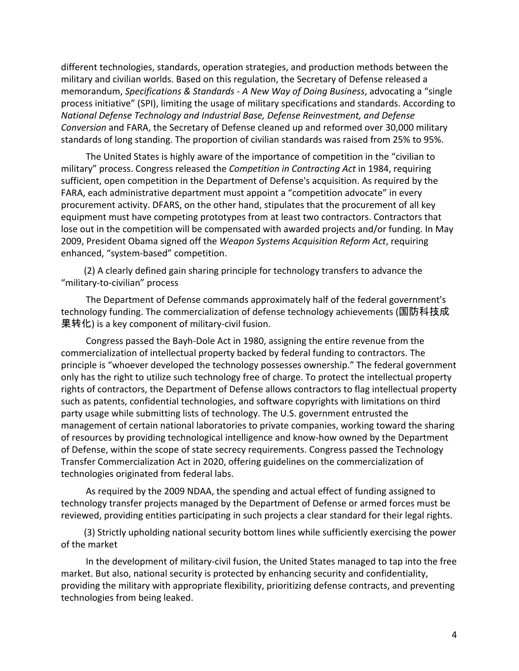different technologies, standards, operation strategies, and production methods between the military and civilian worlds. Based on this regulation, the Secretary of Defense released a memorandum, *Specifications & Standards - A New Way of Doing Business*, advocating a "single process initiative" (SPI), limiting the usage of military specifications and standards. According to *National Defense Technology and Industrial Base, Defense Reinvestment, and Defense Conversion* and FARA, the Secretary of Defense cleaned up and reformed over 30,000 military standards of long standing. The proportion of civilian standards was raised from 25% to 95%.

The United States is highly aware of the importance of competition in the "civilian to military" process. Congress released the *Competition in Contracting Act* in 1984, requiring sufficient, open competition in the Department of Defense's acquisition. As required by the FARA, each administrative department must appoint a "competition advocate" in every procurement activity. DFARS, on the other hand, stipulates that the procurement of all key equipment must have competing prototypes from at least two contractors. Contractors that lose out in the competition will be compensated with awarded projects and/or funding. In May 2009, President Obama signed off the *Weapon Systems Acquisition Reform Act*, requiring enhanced, "system-based" competition.

(2) A clearly defined gain sharing principle for technology transfers to advance the "military-to-civilian" process

The Department of Defense commands approximately half of the federal government's technology funding. The commercialization of defense technology achievements (国防科技成 果转化) is a key component of military-civil fusion.

Congress passed the Bayh-Dole Act in 1980, assigning the entire revenue from the commercialization of intellectual property backed by federal funding to contractors. The principle is "whoever developed the technology possesses ownership." The federal government only has the right to utilize such technology free of charge. To protect the intellectual property rights of contractors, the Department of Defense allows contractors to flag intellectual property such as patents, confidential technologies, and software copyrights with limitations on third party usage while submitting lists of technology. The U.S. government entrusted the management of certain national laboratories to private companies, working toward the sharing of resources by providing technological intelligence and know-how owned by the Department of Defense, within the scope of state secrecy requirements. Congress passed the Technology Transfer Commercialization Act in 2020, offering guidelines on the commercialization of technologies originated from federal labs.

As required by the 2009 NDAA, the spending and actual effect of funding assigned to technology transfer projects managed by the Department of Defense or armed forces must be reviewed, providing entities participating in such projects a clear standard for their legal rights.

(3) Strictly upholding national security bottom lines while sufficiently exercising the power of the market

In the development of military-civil fusion, the United States managed to tap into the free market. But also, national security is protected by enhancing security and confidentiality, providing the military with appropriate flexibility, prioritizing defense contracts, and preventing technologies from being leaked.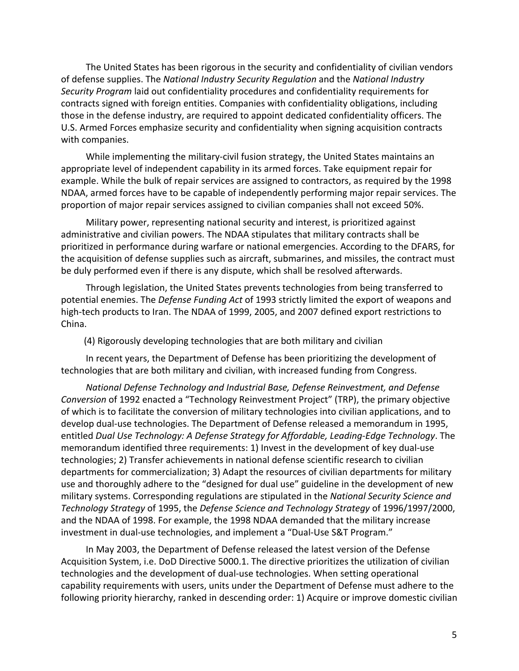The United States has been rigorous in the security and confidentiality of civilian vendors of defense supplies. The *National Industry Security Regulation* and the *National Industry Security Program* laid out confidentiality procedures and confidentiality requirements for contracts signed with foreign entities. Companies with confidentiality obligations, including those in the defense industry, are required to appoint dedicated confidentiality officers. The U.S. Armed Forces emphasize security and confidentiality when signing acquisition contracts with companies.

While implementing the military-civil fusion strategy, the United States maintains an appropriate level of independent capability in its armed forces. Take equipment repair for example. While the bulk of repair services are assigned to contractors, as required by the 1998 NDAA, armed forces have to be capable of independently performing major repair services. The proportion of major repair services assigned to civilian companies shall not exceed 50%.

Military power, representing national security and interest, is prioritized against administrative and civilian powers. The NDAA stipulates that military contracts shall be prioritized in performance during warfare or national emergencies. According to the DFARS, for the acquisition of defense supplies such as aircraft, submarines, and missiles, the contract must be duly performed even if there is any dispute, which shall be resolved afterwards.

Through legislation, the United States prevents technologies from being transferred to potential enemies. The *Defense Funding Act* of 1993 strictly limited the export of weapons and high-tech products to Iran. The NDAA of 1999, 2005, and 2007 defined export restrictions to China.

(4) Rigorously developing technologies that are both military and civilian

In recent years, the Department of Defense has been prioritizing the development of technologies that are both military and civilian, with increased funding from Congress.

*National Defense Technology and Industrial Base, Defense Reinvestment, and Defense Conversion* of 1992 enacted a "Technology Reinvestment Project" (TRP), the primary objective of which is to facilitate the conversion of military technologies into civilian applications, and to develop dual-use technologies. The Department of Defense released a memorandum in 1995, entitled *Dual Use Technology: A Defense Strategy for Affordable, Leading-Edge Technology*. The memorandum identified three requirements: 1) Invest in the development of key dual-use technologies; 2) Transfer achievements in national defense scientific research to civilian departments for commercialization; 3) Adapt the resources of civilian departments for military use and thoroughly adhere to the "designed for dual use" guideline in the development of new military systems. Corresponding regulations are stipulated in the *National Security Science and Technology Strategy* of 1995, the *Defense Science and Technology Strategy* of 1996/1997/2000, and the NDAA of 1998. For example, the 1998 NDAA demanded that the military increase investment in dual-use technologies, and implement a "Dual-Use S&T Program."

In May 2003, the Department of Defense released the latest version of the Defense Acquisition System, i.e. DoD Directive 5000.1. The directive prioritizes the utilization of civilian technologies and the development of dual-use technologies. When setting operational capability requirements with users, units under the Department of Defense must adhere to the following priority hierarchy, ranked in descending order: 1) Acquire or improve domestic civilian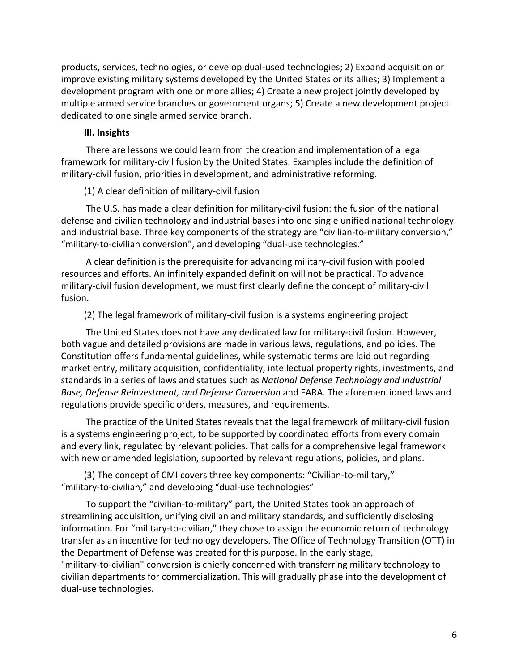products, services, technologies, or develop dual-used technologies; 2) Expand acquisition or improve existing military systems developed by the United States or its allies; 3) Implement a development program with one or more allies; 4) Create a new project jointly developed by multiple armed service branches or government organs; 5) Create a new development project dedicated to one single armed service branch.

#### **III. Insights**

There are lessons we could learn from the creation and implementation of a legal framework for military-civil fusion by the United States. Examples include the definition of military-civil fusion, priorities in development, and administrative reforming.

#### (1) A clear definition of military-civil fusion

The U.S. has made a clear definition for military-civil fusion: the fusion of the national defense and civilian technology and industrial bases into one single unified national technology and industrial base. Three key components of the strategy are "civilian-to-military conversion," "military-to-civilian conversion", and developing "dual-use technologies."

A clear definition is the prerequisite for advancing military-civil fusion with pooled resources and efforts. An infinitely expanded definition will not be practical. To advance military-civil fusion development, we must first clearly define the concept of military-civil fusion.

(2) The legal framework of military-civil fusion is a systems engineering project

The United States does not have any dedicated law for military-civil fusion. However, both vague and detailed provisions are made in various laws, regulations, and policies. The Constitution offers fundamental guidelines, while systematic terms are laid out regarding market entry, military acquisition, confidentiality, intellectual property rights, investments, and standards in a series of laws and statues such as *National Defense Technology and Industrial Base, Defense Reinvestment, and Defense Conversion* and FARA. The aforementioned laws and regulations provide specific orders, measures, and requirements.

The practice of the United States reveals that the legal framework of military-civil fusion is a systems engineering project, to be supported by coordinated efforts from every domain and every link, regulated by relevant policies. That calls for a comprehensive legal framework with new or amended legislation, supported by relevant regulations, policies, and plans.

(3) The concept of CMI covers three key components: "Civilian-to-military," "military-to-civilian," and developing "dual-use technologies"

To support the "civilian-to-military" part, the United States took an approach of streamlining acquisition, unifying civilian and military standards, and sufficiently disclosing information. For "military-to-civilian," they chose to assign the economic return of technology transfer as an incentive for technology developers. The Office of Technology Transition (OTT) in the Department of Defense was created for this purpose. In the early stage, "military-to-civilian" conversion is chiefly concerned with transferring military technology to

civilian departments for commercialization. This will gradually phase into the development of dual-use technologies.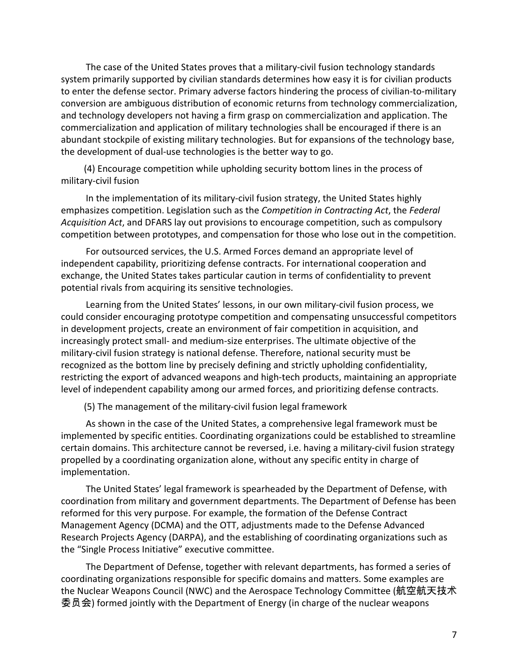The case of the United States proves that a military-civil fusion technology standards system primarily supported by civilian standards determines how easy it is for civilian products to enter the defense sector. Primary adverse factors hindering the process of civilian-to-military conversion are ambiguous distribution of economic returns from technology commercialization, and technology developers not having a firm grasp on commercialization and application. The commercialization and application of military technologies shall be encouraged if there is an abundant stockpile of existing military technologies. But for expansions of the technology base, the development of dual-use technologies is the better way to go.

(4) Encourage competition while upholding security bottom lines in the process of military-civil fusion

In the implementation of its military-civil fusion strategy, the United States highly emphasizes competition. Legislation such as the *Competition in Contracting Act*, the *Federal Acquisition Act*, and DFARS lay out provisions to encourage competition, such as compulsory competition between prototypes, and compensation for those who lose out in the competition.

For outsourced services, the U.S. Armed Forces demand an appropriate level of independent capability, prioritizing defense contracts. For international cooperation and exchange, the United States takes particular caution in terms of confidentiality to prevent potential rivals from acquiring its sensitive technologies.

Learning from the United States' lessons, in our own military-civil fusion process, we could consider encouraging prototype competition and compensating unsuccessful competitors in development projects, create an environment of fair competition in acquisition, and increasingly protect small- and medium-size enterprises. The ultimate objective of the military-civil fusion strategy is national defense. Therefore, national security must be recognized as the bottom line by precisely defining and strictly upholding confidentiality, restricting the export of advanced weapons and high-tech products, maintaining an appropriate level of independent capability among our armed forces, and prioritizing defense contracts.

(5) The management of the military-civil fusion legal framework

As shown in the case of the United States, a comprehensive legal framework must be implemented by specific entities. Coordinating organizations could be established to streamline certain domains. This architecture cannot be reversed, i.e. having a military-civil fusion strategy propelled by a coordinating organization alone, without any specific entity in charge of implementation.

The United States' legal framework is spearheaded by the Department of Defense, with coordination from military and government departments. The Department of Defense has been reformed for this very purpose. For example, the formation of the Defense Contract Management Agency (DCMA) and the OTT, adjustments made to the Defense Advanced Research Projects Agency (DARPA), and the establishing of coordinating organizations such as the "Single Process Initiative" executive committee.

The Department of Defense, together with relevant departments, has formed a series of coordinating organizations responsible for specific domains and matters. Some examples are the Nuclear Weapons Council (NWC) and the Aerospace Technology Committee (航空航天技术 委员会) formed jointly with the Department of Energy (in charge of the nuclear weapons